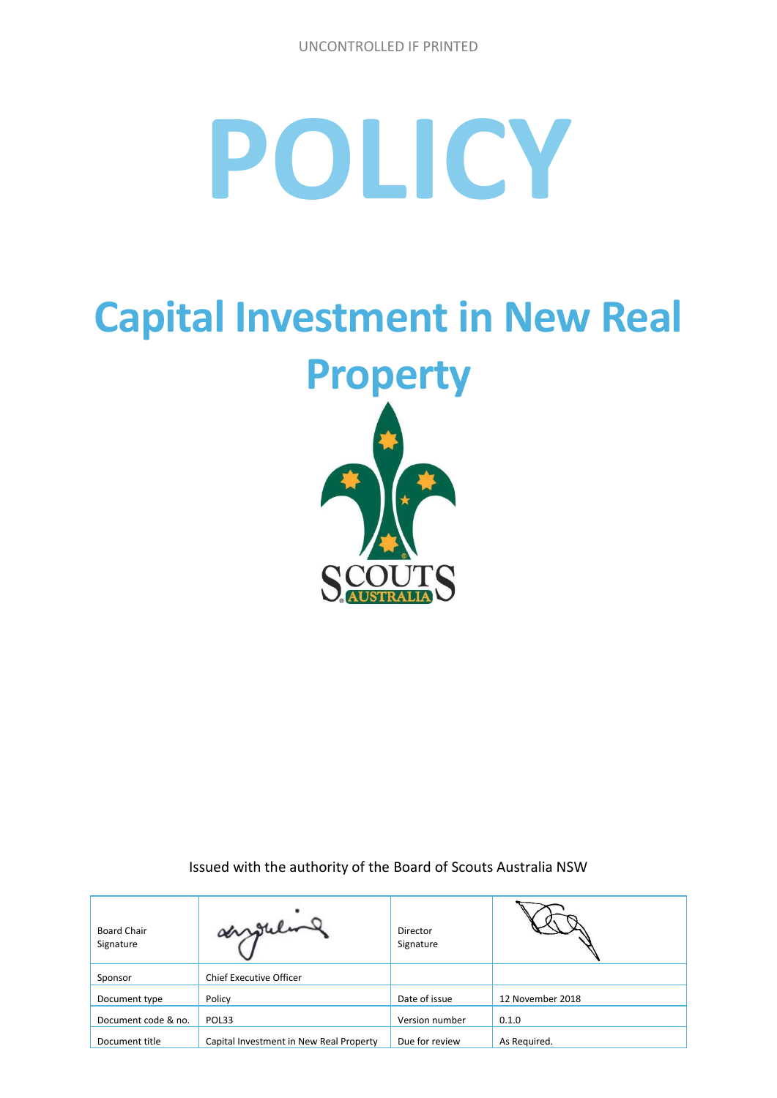## **POLICY**

# **Capital Investment in New Real Property**

Issued with the authority of the Board of Scouts Australia NSW

| <b>Board Chair</b><br>Signature | surgeling                               | Director<br>Signature |                  |
|---------------------------------|-----------------------------------------|-----------------------|------------------|
| Sponsor                         | <b>Chief Executive Officer</b>          |                       |                  |
| Document type                   | Policy                                  | Date of issue         | 12 November 2018 |
| Document code & no.             | POL33                                   | Version number        | 0.1.0            |
| Document title                  | Capital Investment in New Real Property | Due for review        | As Required.     |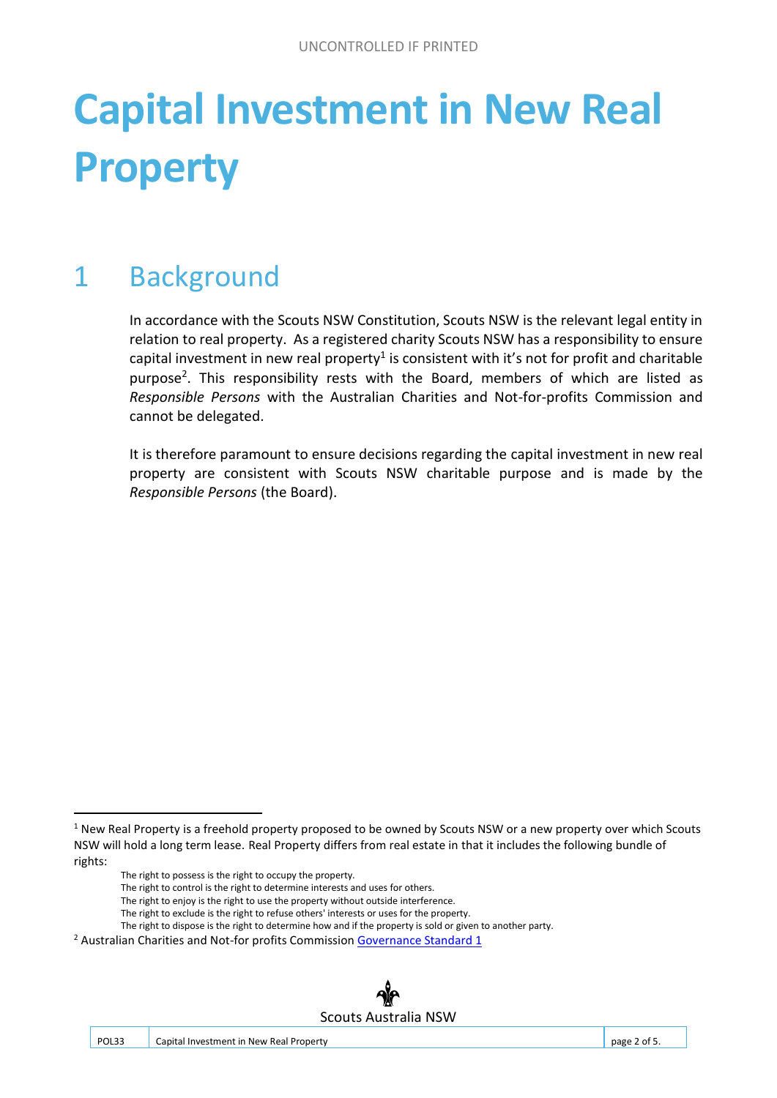### **Capital Investment in New Real Property**

#### 1 Background

In accordance with the Scouts NSW Constitution, Scouts NSW is the relevant legal entity in relation to real property. As a registered charity Scouts NSW has a responsibility to ensure capital investment in new real property<sup>1</sup> is consistent with it's not for profit and charitable purpose<sup>2</sup>. This responsibility rests with the Board, members of which are listed as *Responsible Persons* with the Australian Charities and Not-for-profits Commission and cannot be delegated.

It is therefore paramount to ensure decisions regarding the capital investment in new real property are consistent with Scouts NSW charitable purpose and is made by the *Responsible Persons* (the Board).

1

- The right to control is the right to determine interests and uses for others.
- The right to enjoy is the right to use the property without outside interference.
- The right to exclude is the right to refuse others' interests or uses for the property.

<sup>&</sup>lt;sup>2</sup> Australian Charities and Not-for profits Commission [Governance Standard 1](http://www.acnc.gov.au/ACNC/Manage/Governance/GovStds_1/ACNC/Edu/GovStandard_1.aspx?hkey=18fdef33-9f88-4a3f-ac61-e3a8ba3fdac6)



<sup>&</sup>lt;sup>1</sup> New Real Property is a freehold property proposed to be owned by Scouts NSW or a new property over which Scouts NSW will hold a long term lease. Real Property differs from real estate in that it includes the following bundle of rights:

The right to possess is the right to occupy the property.

The right to dispose is the right to determine how and if the property is sold or given to another party.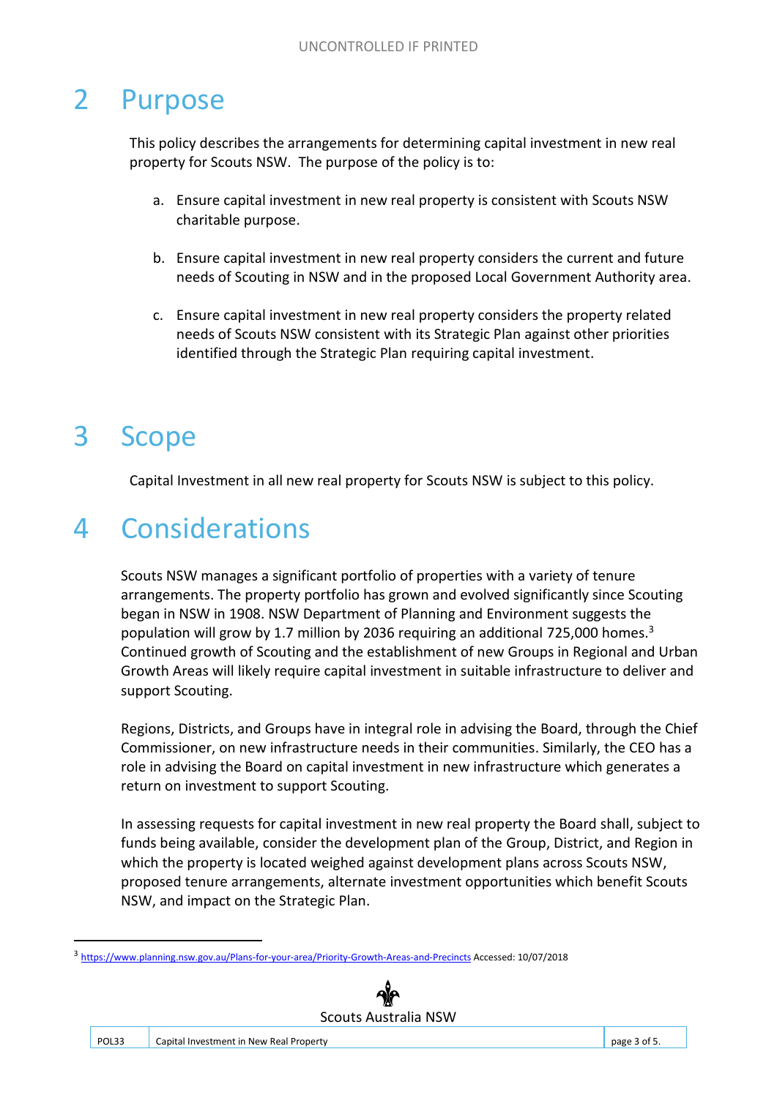#### 2 Purpose

This policy describes the arrangements for determining capital investment in new real property for Scouts NSW. The purpose of the policy is to:

- a. Ensure capital investment in new real property is consistent with Scouts NSW charitable purpose.
- b. Ensure capital investment in new real property considers the current and future needs of Scouting in NSW and in the proposed Local Government Authority area.
- c. Ensure capital investment in new real property considers the property related needs of Scouts NSW consistent with its Strategic Plan against other priorities identified through the Strategic Plan requiring capital investment.

#### 3 Scope

.

Capital Investment in all new real property for Scouts NSW is subject to this policy.

#### 4 Considerations

Scouts NSW manages a significant portfolio of properties with a variety of tenure arrangements. The property portfolio has grown and evolved significantly since Scouting began in NSW in 1908. NSW Department of Planning and Environment suggests the population will grow by 1.7 million by 2036 requiring an additional 725,000 homes.<sup>3</sup> Continued growth of Scouting and the establishment of new Groups in Regional and Urban Growth Areas will likely require capital investment in suitable infrastructure to deliver and support Scouting.

Regions, Districts, and Groups have in integral role in advising the Board, through the Chief Commissioner, on new infrastructure needs in their communities. Similarly, the CEO has a role in advising the Board on capital investment in new infrastructure which generates a return on investment to support Scouting.

In assessing requests for capital investment in new real property the Board shall, subject to funds being available, consider the development plan of the Group, District, and Region in which the property is located weighed against development plans across Scouts NSW, proposed tenure arrangements, alternate investment opportunities which benefit Scouts NSW, and impact on the Strategic Plan.

<sup>3</sup> [https://www.planning.nsw.gov.au/Plans-for-your-area/Priority-Growth-Areas-and-Precincts A](https://www.planning.nsw.gov.au/Plans-for-your-area/Priority-Growth-Areas-and-Precincts)ccessed: 10/07/2018

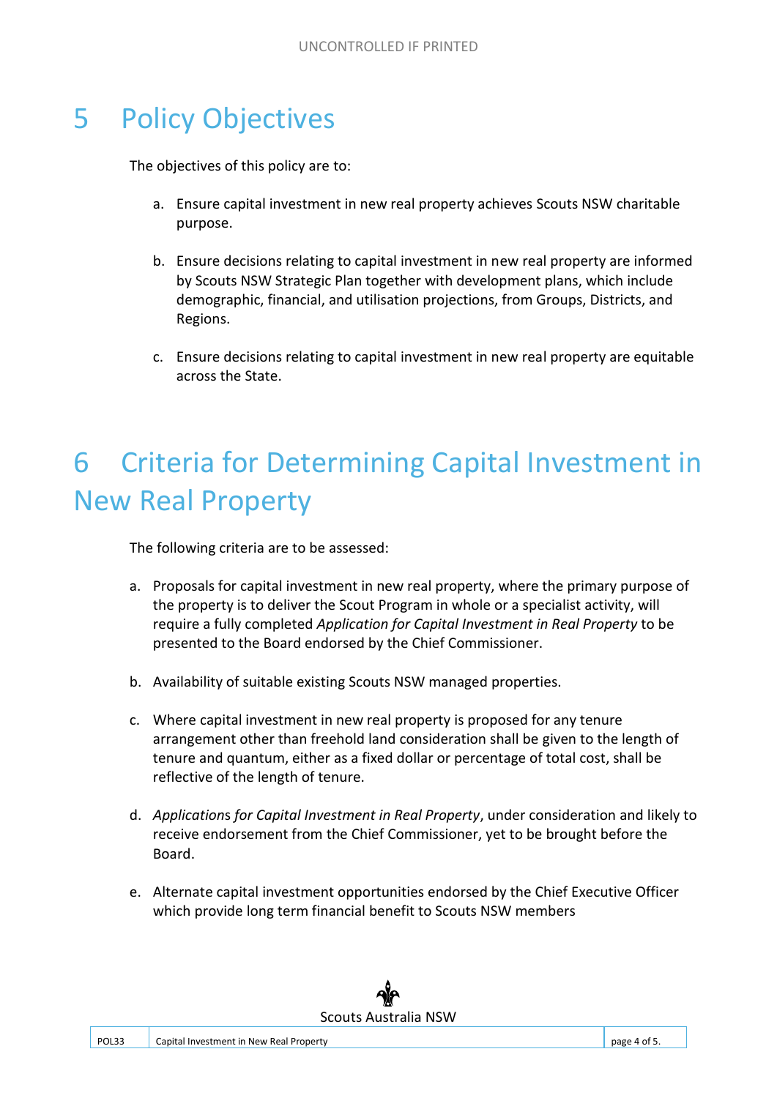#### 5 Policy Objectives

The objectives of this policy are to:

- a. Ensure capital investment in new real property achieves Scouts NSW charitable purpose.
- b. Ensure decisions relating to capital investment in new real property are informed by Scouts NSW Strategic Plan together with development plans, which include demographic, financial, and utilisation projections, from Groups, Districts, and Regions.
- c. Ensure decisions relating to capital investment in new real property are equitable across the State.

#### 6 Criteria for Determining Capital Investment in New Real Property

The following criteria are to be assessed:

- a. Proposals for capital investment in new real property, where the primary purpose of the property is to deliver the Scout Program in whole or a specialist activity, will require a fully completed *Application for Capital Investment in Real Property* to be presented to the Board endorsed by the Chief Commissioner.
- b. Availability of suitable existing Scouts NSW managed properties.
- c. Where capital investment in new real property is proposed for any tenure arrangement other than freehold land consideration shall be given to the length of tenure and quantum, either as a fixed dollar or percentage of total cost, shall be reflective of the length of tenure.
- d. *Application*s *for Capital Investment in Real Property*, under consideration and likely to receive endorsement from the Chief Commissioner, yet to be brought before the Board.
- e. Alternate capital investment opportunities endorsed by the Chief Executive Officer which provide long term financial benefit to Scouts NSW members